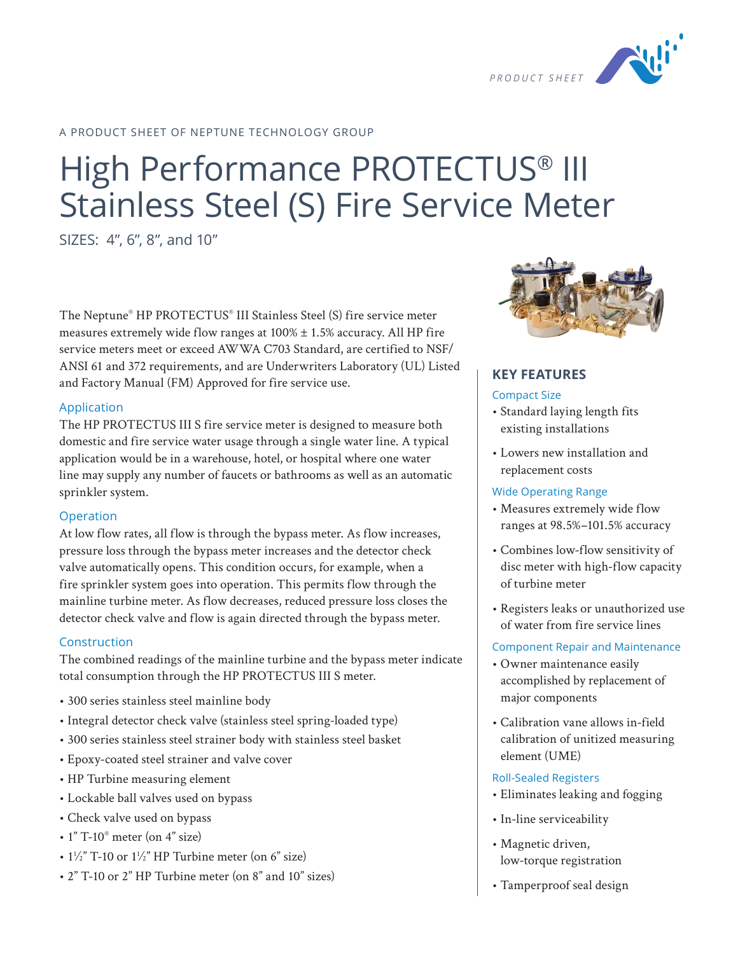

### A PRODUCT SHEET OF NEPTUNE TECHNOLOGY GROUP

# High Performance PROTECTUS® III Stainless Steel (S) Fire Service Meter

SIZES: 4", 6", 8", and 10"

The Neptune® HP PROTECTUS® III Stainless Steel (S) fire service meter measures extremely wide flow ranges at  $100\% \pm 1.5\%$  accuracy. All HP fire service meters meet or exceed AWWA C703 Standard, are certified to NSF/ ANSI 61 and 372 requirements, and are Underwriters Laboratory (UL) Listed and Factory Manual (FM) Approved for fire service use.

### Application

The HP PROTECTUS III S fire service meter is designed to measure both domestic and fire service water usage through a single water line. A typical application would be in a warehouse, hotel, or hospital where one water line may supply any number of faucets or bathrooms as well as an automatic sprinkler system.

### Operation

At low flow rates, all flow is through the bypass meter. As flow increases, pressure loss through the bypass meter increases and the detector check valve automatically opens. This condition occurs, for example, when a fire sprinkler system goes into operation. This permits flow through the mainline turbine meter. As flow decreases, reduced pressure loss closes the detector check valve and flow is again directed through the bypass meter.

### Construction

The combined readings of the mainline turbine and the bypass meter indicate total consumption through the HP PROTECTUS III S meter.

- 300 series stainless steel mainline body
- Integral detector check valve (stainless steel spring-loaded type)
- 300 series stainless steel strainer body with stainless steel basket
- Epoxy-coated steel strainer and valve cover
- HP Turbine measuring element
- Lockable ball valves used on bypass
- Check valve used on bypass
- $\cdot$  1" T-10 $^{\circ}$  meter (on 4" size)
- $1\frac{1}{2}$ " T-10 or  $1\frac{1}{2}$ " HP Turbine meter (on 6" size)
- 2" T-10 or 2" HP Turbine meter (on 8" and 10" sizes)



### **KEY FEATURES**

#### Compact Size

- Standard laying length fits existing installations
- Lowers new installation and replacement costs

### Wide Operating Range

- Measures extremely wide flow ranges at 98.5%–101.5% accuracy
- Combines low-flow sensitivity of disc meter with high-flow capacity of turbine meter
- Registers leaks or unauthorized use of water from fire service lines

### Component Repair and Maintenance

- Owner maintenance easily accomplished by replacement of major components
- Calibration vane allows in-field calibration of unitized measuring element (UME)

### Roll-Sealed Registers

- Eliminates leaking and fogging
- In-line serviceability
- Magnetic driven, low-torque registration
- Tamperproof seal design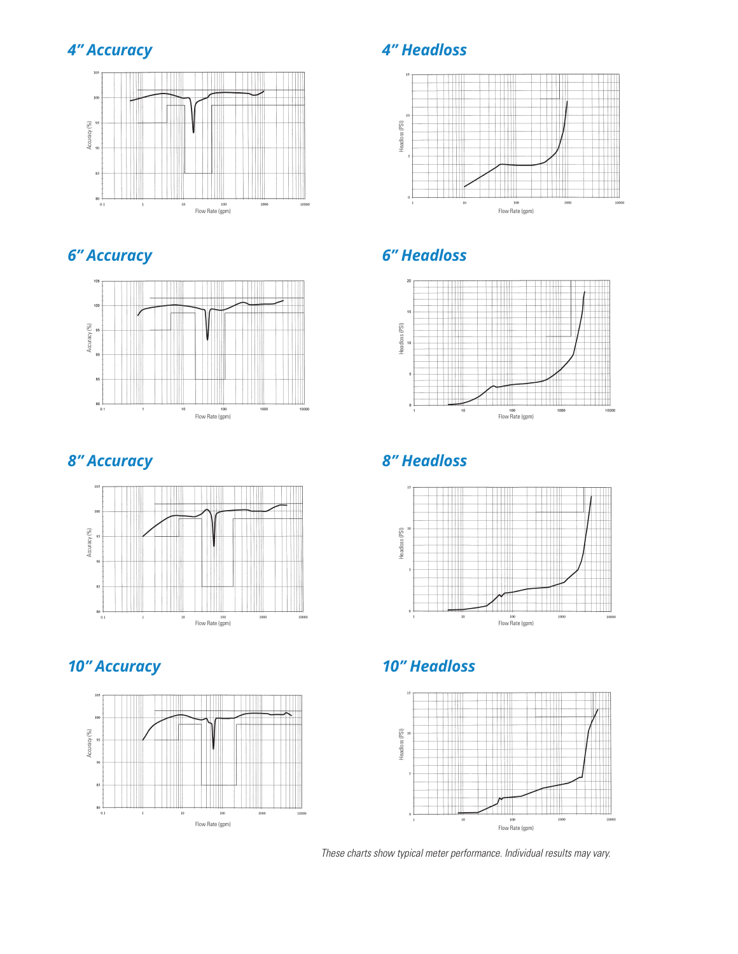







### *4" Accuracy 4" Headloss*



## *6" Accuracy 6" Headloss*



## *8" Accuracy 8" Headloss*



## *10" Accuracy 10" Headloss*



*These charts show typical meter performance. Individual results may vary.*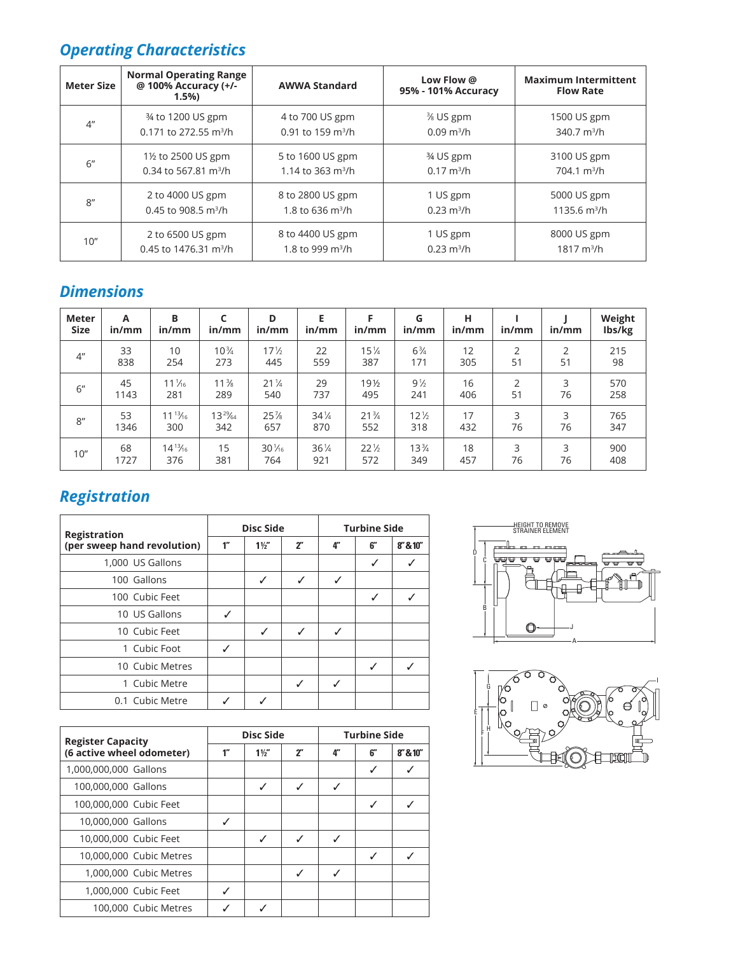## *Operating Characteristics*

| Meter Size      | <b>Normal Operating Range</b><br>@ 100% Accuracy (+/-<br>1.5% | <b>AWWA Standard</b> | Low Flow @<br>95% - 101% Accuracy | <b>Maximum Intermittent</b><br><b>Flow Rate</b> |  |
|-----------------|---------------------------------------------------------------|----------------------|-----------------------------------|-------------------------------------------------|--|
| 4 <sup>''</sup> | 34 to 1200 US gpm                                             | 4 to 700 US gpm      | $\frac{3}{8}$ US gpm              | 1500 US gpm                                     |  |
|                 | 0.171 to 272.55 m <sup>3</sup> /h                             | 0.91 to 159 $m^3/h$  | $0.09 \text{ m}^3/h$              | 340.7 $m^3/h$                                   |  |
| 6''             | 1½ to 2500 US gpm                                             | 5 to 1600 US gpm     | 3⁄4 US gpm                        | 3100 US gpm                                     |  |
|                 | 0.34 to 567.81 $m^3/h$                                        | 1.14 to 363 $m^3/h$  | $0.17 \text{ m}^3/h$              | $704.1 \text{ m}^3/h$                           |  |
| R''             | 2 to 4000 US gpm                                              | 8 to 2800 US gpm     | 1 US gpm                          | 5000 US gpm                                     |  |
|                 | 0.45 to 908.5 $m^3/h$                                         | 1.8 to 636 $m^3/h$   | $0.23 \text{ m}^3/h$              | 1135.6 $m^3/h$                                  |  |
| 10"             | 2 to 6500 US gpm                                              | 8 to 4400 US gpm     | 1 US gpm                          | 8000 US gpm                                     |  |
|                 | 0.45 to 1476.31 m <sup>3</sup> /h                             | 1.8 to 999 $m^3/h$   | $0.23 \text{ m}^3/h$              | $1817 \text{ m}^3$ /h                           |  |

### *Dimensions*

| <b>Meter</b><br><b>Size</b> | A<br>in/mm | В<br>in/mm       | in/mm           | D<br>in/mm       | Е<br>in/mm      | in/mm           | G<br>in/mm      | н<br>in/mm | in/mm          | in/mm | Weight<br>Ibs/kg |
|-----------------------------|------------|------------------|-----------------|------------------|-----------------|-----------------|-----------------|------------|----------------|-------|------------------|
| 4 <sup>''</sup>             | 33         | 10               | $10\frac{3}{4}$ | $17\frac{1}{2}$  | 22              | $15\frac{1}{4}$ | $6\frac{3}{4}$  | 12         | $\overline{2}$ | 2     | 215              |
|                             | 838        | 254              | 273             | 445              | 559             | 387             | 171             | 305        | 51             | 51    | 98               |
| 6''                         | 45         | $11\frac{1}{16}$ | $11\frac{3}{8}$ | $21\frac{1}{4}$  | 29              | 19½             | $9\frac{1}{2}$  | 16         | $\overline{2}$ | 3     | 570              |
|                             | 1143       | 281              | 289             | 540              | 737             | 495             | 241             | 406        | 51             | 76    | 258              |
| 8''                         | 53         | $11^{13}/_{16}$  | $13^{29}/64$    | 25%              | $34\frac{1}{4}$ | $21\frac{3}{4}$ | $12\frac{1}{2}$ | 17         | 3              | 3     | 765              |
|                             | 1346       | 300              | 342             | 657              | 870             | 552             | 318             | 432        | 76             | 76    | 347              |
| 10''                        | 68         | $14^{13}/_{16}$  | 15              | $30\frac{1}{16}$ | $36\frac{1}{4}$ | $22\frac{1}{2}$ | $13\frac{3}{4}$ | 18         | 3              | 3     | 900              |
|                             | 1727       | 376              | 381             | 764              | 921             | 572             | 349             | 457        | 76             | 76    | 408              |

## *Registration*

| <b>Registration</b>         |                    | <b>Disc Side</b> |                 | <b>Turbine Side</b> |     |            |  |
|-----------------------------|--------------------|------------------|-----------------|---------------------|-----|------------|--|
| (per sweep hand revolution) | $1^{\prime\prime}$ | $1\frac{1}{2}$   | 2 <sup>''</sup> | $4^{\prime\prime}$  | 6'' | 8'' 8 10'' |  |
| 1,000 US Gallons            |                    |                  |                 |                     | ✓   |            |  |
| 100 Gallons                 |                    | ✓                | ✓               | ✓                   |     |            |  |
| 100 Cubic Feet              |                    |                  |                 |                     | ✓   |            |  |
| 10 US Gallons               | ✓                  |                  |                 |                     |     |            |  |
| 10 Cubic Feet               |                    | ℐ                | ✓               | ✓                   |     |            |  |
| 1 Cubic Foot                | ✓                  |                  |                 |                     |     |            |  |
| 10 Cubic Metres             |                    |                  |                 |                     | ✓   |            |  |
| 1 Cubic Metre               |                    |                  | ✓               | ℐ                   |     |            |  |
| 0.1 Cubic Metre             |                    |                  |                 |                     |     |            |  |

| <b>Register Capacity</b>  |    | <b>Disc Side</b> |                | <b>Turbine Side</b> |    |            |  |
|---------------------------|----|------------------|----------------|---------------------|----|------------|--|
| (6 active wheel odometer) | 1" | $1\frac{1}{2}$   | 2 <sup>n</sup> | 4"                  | 6" | 8'' 8 10'' |  |
| 1,000,000,000 Gallons     |    |                  |                |                     | ✓  |            |  |
| 100,000,000 Gallons       |    | ✓                | ✓              | ✓                   |    |            |  |
| 100,000,000 Cubic Feet    |    |                  |                |                     | ✓  |            |  |
| 10,000,000 Gallons        |    |                  |                |                     |    |            |  |
| 10,000,000 Cubic Feet     |    | ✓                | ✓              | ✓                   |    |            |  |
| 10,000,000 Cubic Metres   |    |                  |                |                     | J  |            |  |
| 1,000,000 Cubic Metres    |    |                  |                | J                   |    |            |  |
| 1,000,000 Cubic Feet      | ℐ  |                  |                |                     |    |            |  |
| 100,000 Cubic Metres      |    |                  |                |                     |    |            |  |